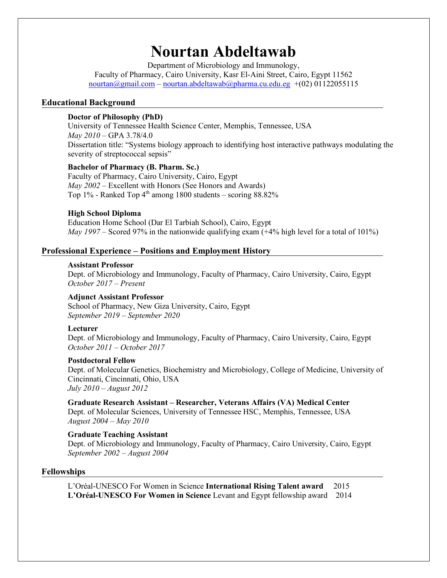# **Nourtan Abdeltawab**

Department of Microbiology and Immunology, Faculty of Pharmacy, Cairo University, Kasr El-Aini Street, Cairo, Egypt 11562  $normal(\alpha)$ gmail.com – nourtan.abdeltawab $\alpha$ pharma.cu.edu.eg +(02) 01122055115

#### **Educational Background**

#### **Doctor of Philosophy (PhD)**

University of Tennessee Health Science Center, Memphis, Tennessee, USA *May 2010* – GPA 3.78/4.0 Dissertation title: "Systems biology approach to identifying host interactive pathways modulating the severity of streptococcal sepsis"

#### **Bachelor of Pharmacy (B. Pharm. Sc.)**

Faculty of Pharmacy, Cairo University, Cairo, Egypt *May 2002* – Excellent with Honors (See Honors and Awards) Top  $1\%$  - Ranked Top  $4<sup>th</sup>$  among 1800 students – scoring 88.82%

#### **High School Diploma**

Education Home School (Dar El Tarbiah School), Cairo, Egypt *May 1997* – Scored 97% in the nationwide qualifying exam  $(+4%$  high level for a total of 101%)

#### **Professional Experience – Positions and Employment History**

#### **Assistant Professor**

Dept. of Microbiology and Immunology, Faculty of Pharmacy, Cairo University, Cairo, Egypt *October 2017 – Present* 

#### **Adjunct Assistant Professor**

School of Pharmacy, New Giza University, Cairo, Egypt *September 2019 – September 2020*

#### **Lecturer**

Dept. of Microbiology and Immunology, Faculty of Pharmacy, Cairo University, Cairo, Egypt *October 2011 – October 2017*

#### **Postdoctoral Fellow**

Dept. of Molecular Genetics, Biochemistry and Microbiology, College of Medicine, University of Cincinnati, Cincinnati, Ohio, USA *July 2010 – August 2012*

#### **Graduate Research Assistant – Researcher, Veterans Affairs (VA) Medical Center**

Dept. of Molecular Sciences, University of Tennessee HSC, Memphis, Tennessee, USA *August 2004 – May 2010*

#### **Graduate Teaching Assistant**

Dept. of Microbiology and Immunology, Faculty of Pharmacy, Cairo University, Cairo, Egypt *September 2002 – August 2004* 

#### **Fellowships**

L'Oréal-UNESCO For Women in Science **International Rising Talent award** 2015 **L'Oréal-UNESCO For Women in Science** Levant and Egypt fellowship award 2014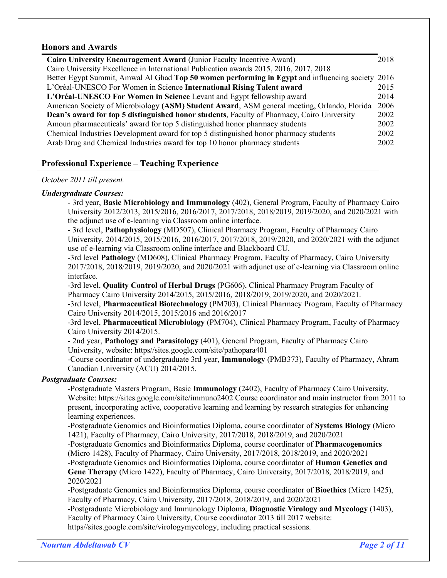#### **Honors and Awards**

| Cairo University Encouragement Award (Junior Faculty Incentive Award)                            | 2018 |  |
|--------------------------------------------------------------------------------------------------|------|--|
| Cairo University Excellence in International Publication awards 2015, 2016, 2017, 2018           |      |  |
| Better Egypt Summit, Amwal Al Ghad Top 50 women performing in Egypt and influencing society 2016 |      |  |
| L'Oréal-UNESCO For Women in Science International Rising Talent award                            | 2015 |  |
| L'Oréal-UNESCO For Women in Science Levant and Egypt fellowship award                            | 2014 |  |
| American Society of Microbiology (ASM) Student Award, ASM general meeting, Orlando, Florida      | 2006 |  |
| Dean's award for top 5 distinguished honor students, Faculty of Pharmacy, Cairo University       |      |  |
| Amoun pharmaceuticals' award for top 5 distinguished honor pharmacy students                     | 2002 |  |
| Chemical Industries Development award for top 5 distinguished honor pharmacy students            | 2002 |  |
| Arab Drug and Chemical Industries award for top 10 honor pharmacy students                       | 2002 |  |

# **Professional Experience – Teaching Experience**

#### *October 2011 till present.*

#### *Undergraduate Courses:*

- 3rd year, **Basic Microbiology and Immunology** (402), General Program, Faculty of Pharmacy Cairo University 2012/2013, 2015/2016, 2016/2017, 2017/2018, 2018/2019, 2019/2020, and 2020/2021 with the adjunct use of e-learning via Classroom online interface.

- 3rd level, **Pathophysiology** (MD507), Clinical Pharmacy Program, Faculty of Pharmacy Cairo University, 2014/2015, 2015/2016, 2016/2017, 2017/2018, 2019/2020, and 2020/2021 with the adjunct use of e-learning via Classroom online interface and Blackboard CU.

-3rd level **Pathology** (MD608), Clinical Pharmacy Program, Faculty of Pharmacy, Cairo University 2017/2018, 2018/2019, 2019/2020, and 2020/2021 with adjunct use of e-learning via Classroom online interface.

-3rd level, **Quality Control of Herbal Drugs** (PG606), Clinical Pharmacy Program Faculty of Pharmacy Cairo University 2014/2015, 2015/2016, 2018/2019, 2019/2020, and 2020/2021.

-3rd level, **Pharmaceutical Biotechnology** (PM703), Clinical Pharmacy Program, Faculty of Pharmacy Cairo University 2014/2015, 2015/2016 and 2016/2017

-3rd level, **Pharmaceutical Microbiology** (PM704), Clinical Pharmacy Program, Faculty of Pharmacy Cairo University 2014/2015.

- 2nd year, **Pathology and Parasitology** (401), General Program, Faculty of Pharmacy Cairo University, website: https//sites.google.com/site/pathopara401

-Course coordinator of undergraduate 3rd year, **Immunology** (PMB373), Faculty of Pharmacy, Ahram Canadian University (ACU) 2014/2015.

#### *Postgraduate Courses:*

-Postgraduate Masters Program, Basic **Immunology** (2402), Faculty of Pharmacy Cairo University. Website: https://sites.google.com/site/immuno2402 Course coordinator and main instructor from 2011 to present, incorporating active, cooperative learning and learning by research strategies for enhancing learning experiences.

-Postgraduate Genomics and Bioinformatics Diploma, course coordinator of **Systems Biology** (Micro 1421), Faculty of Pharmacy, Cairo University, 2017/2018, 2018/2019, and 2020/2021

-Postgraduate Genomics and Bioinformatics Diploma, course coordinator of **Pharmacogenomics** (Micro 1428), Faculty of Pharmacy, Cairo University, 2017/2018, 2018/2019, and 2020/2021

-Postgraduate Genomics and Bioinformatics Diploma, course coordinator of **Human Genetics and Gene Therapy** (Micro 1422), Faculty of Pharmacy, Cairo University, 2017/2018, 2018/2019, and 2020/2021

-Postgraduate Genomics and Bioinformatics Diploma, course coordinator of **Bioethics** (Micro 1425), Faculty of Pharmacy, Cairo University, 2017/2018, 2018/2019, and 2020/2021

-Postgraduate Microbiology and Immunology Diploma, **Diagnostic Virology and Mycology** (1403), Faculty of Pharmacy Cairo University, Course coordinator 2013 till 2017 website: https//sites.google.com/site/virologymycology, including practical sessions.

*Nourtan Abdeltawab CV Page 2 of 11*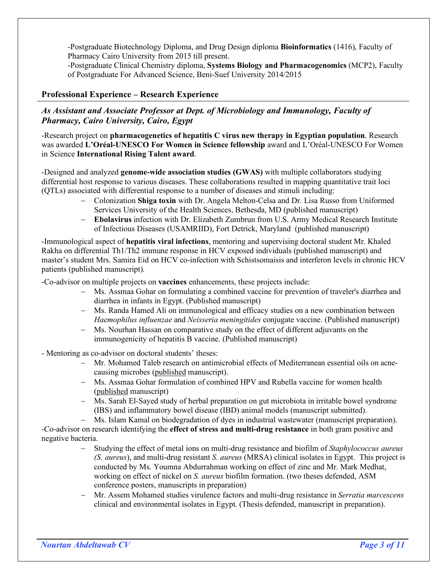-Postgraduate Biotechnology Diploma, and Drug Design diploma **Bioinformatics** (1416), Faculty of Pharmacy Cairo University from 2015 till present.

-Postgraduate Clinical Chemistry diploma, **Systems Biology and Pharmacogenomics** (MCP2), Faculty of Postgraduate For Advanced Science, Beni-Suef University 2014/2015

# **Professional Experience – Research Experience**

# *As Assistant and Associate Professor at Dept. of Microbiology and Immunology, Faculty of Pharmacy, Cairo University, Cairo, Egypt*

-Research project on **pharmacogenetics of hepatitis C virus new therapy in Egyptian population**. Research was awarded **L'Oréal-UNESCO For Women in Science fellowship** award and L'Oréal-UNESCO For Women in Science **International Rising Talent award**.

-Designed and analyzed **genome-wide association studies (GWAS)** with multiple collaborators studying differential host response to various diseases. These collaborations resulted in mapping quantitative trait loci (QTLs) associated with differential response to a number of diseases and stimuli including:

- Colonization **Shiga toxin** with Dr. Angela Melton-Celsa and Dr. Lisa Russo from Uniformed Services University of the Health Sciences, Bethesda, MD (published manuscript)
- **Ebolavirus** infection with Dr. Elizabeth Zumbrun from U.S. Army Medical Research Institute of Infectious Diseases (USAMRIID), Fort Detrick, Maryland (published manuscript)

-Immunological aspect of **hepatitis viral infections**, mentoring and supervising doctoral student Mr. Khaled Rakha on differential Th1/Th2 immune response in HCV exposed individuals (published manuscript) and master's student Mrs. Samira Eid on HCV co-infection with Schistsomaisis and interferon levels in chronic HCV patients (published manuscript).

-Co-advisor on multiple projects on **vaccines** enhancements, these projects include:

- Ms. Assmaa Gohar on formulating a combined vaccine for prevention of traveler's diarrhea and diarrhea in infants in Egypt. (Published manuscript)
- Ms. Randa Hamed Ali on immunological and efficacy studies on a new combination between *Haemophilus influenzae* and *Neisseria meningitides* conjugate vaccine. (Published manuscript)
- Ms. Nourhan Hassan on comparative study on the effect of different adjuvants on the immunogenicity of hepatitis B vaccine. (Published manuscript)

- Mentoring as co-advisor on doctoral students' theses:

- Mr. Mohamed Taleb research on antimicrobial effects of Mediterranean essential oils on acnecausing microbes (published manuscript).
- Ms. Assmaa Gohar formulation of combined HPV and Rubella vaccine for women health (published manuscript)
- Ms. Sarah El-Sayed study of herbal preparation on gut microbiota in irritable bowel syndrome (IBS) and inflammatory bowel disease (IBD) animal models (manuscript submitted).

Ms. Islam Kamal on biodegradation of dyes in industrial wastewater (manuscript preparation). -Co-advisor on research identifying the **effect of stress and multi-drug resistance** in both gram positive and negative bacteria.

- Studying the effect of metal ions on multi-drug resistance and biofilm of *Staphylococcus aureus (S. aureus*), and multi-drug resistant *S. aureus* (MRSA) clinical isolates in Egypt. This project is conducted by Ms. Youmna Abdurrahman working on effect of zinc and Mr. Mark Medhat, working on effect of nickel on *S. aureus* biofilm formation. (two theses defended, ASM conference posters, manuscripts in preparation)
- Mr. Assem Mohamed studies virulence factors and multi-drug resistance in *Serratia marcescens* clinical and environmental isolates in Egypt. (Thesis defended, manuscript in preparation).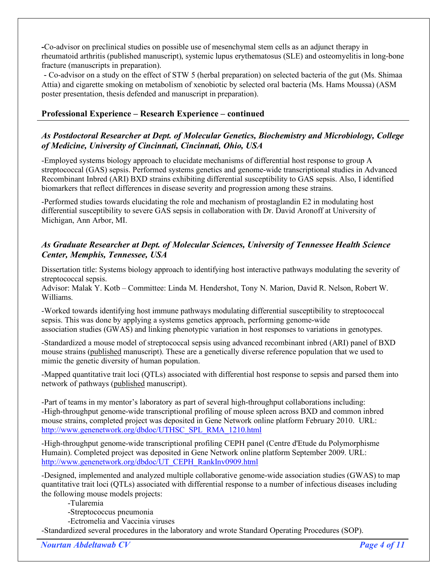**-**Co-advisor on preclinical studies on possible use of mesenchymal stem cells as an adjunct therapy in rheumatoid arthritis (published manuscript), systemic lupus erythematosus (SLE) and osteomyelitis in long-bone fracture (manuscripts in preparation).

- Co-advisor on a study on the effect of STW 5 (herbal preparation) on selected bacteria of the gut (Ms. Shimaa Attia) and cigarette smoking on metabolism of xenobiotic by selected oral bacteria (Ms. Hams Moussa) (ASM poster presentation, thesis defended and manuscript in preparation).

# **Professional Experience – Research Experience – continued**

# *As Postdoctoral Researcher at Dept. of Molecular Genetics, Biochemistry and Microbiology, College of Medicine, University of Cincinnati, Cincinnati, Ohio, USA*

-Employed systems biology approach to elucidate mechanisms of differential host response to group A streptococcal (GAS) sepsis. Performed systems genetics and genome-wide transcriptional studies in Advanced Recombinant Inbred (ARI) BXD strains exhibiting differential susceptibility to GAS sepsis. Also, I identified biomarkers that reflect differences in disease severity and progression among these strains.

-Performed studies towards elucidating the role and mechanism of prostaglandin E2 in modulating host differential susceptibility to severe GAS sepsis in collaboration with Dr. David Aronoff at University of Michigan, Ann Arbor, MI.

# *As Graduate Researcher at Dept. of Molecular Sciences, University of Tennessee Health Science Center, Memphis, Tennessee, USA*

Dissertation title: Systems biology approach to identifying host interactive pathways modulating the severity of streptococcal sepsis.

Advisor: Malak Y. Kotb – Committee: Linda M. Hendershot, Tony N. Marion, David R. Nelson, Robert W. Williams.

-Worked towards identifying host immune pathways modulating differential susceptibility to streptococcal sepsis. This was done by applying a systems genetics approach, performing genome-wide association studies (GWAS) and linking phenotypic variation in host responses to variations in genotypes.

-Standardized a mouse model of streptococcal sepsis using advanced recombinant inbred (ARI) panel of BXD mouse strains (published manuscript). These are a genetically diverse reference population that we used to mimic the genetic diversity of human population.

-Mapped quantitative trait loci (QTLs) associated with differential host response to sepsis and parsed them into network of pathways (published manuscript).

-Part of teams in my mentor's laboratory as part of several high-throughput collaborations including: -High-throughput genome-wide transcriptional profiling of mouse spleen across BXD and common inbred mouse strains, completed project was deposited in Gene Network online platform February 2010. URL: http://www.genenetwork.org/dbdoc/UTHSC\_SPL\_RMA\_1210.html

-High-throughput genome-wide transcriptional profiling CEPH panel (Centre d'Etude du Polymorphisme Humain). Completed project was deposited in Gene Network online platform September 2009. URL: http://www.genenetwork.org/dbdoc/UT\_CEPH\_RankInv0909.html

-Designed, implemented and analyzed multiple collaborative genome-wide association studies (GWAS) to map quantitative trait loci (QTLs) associated with differential response to a number of infectious diseases including the following mouse models projects:

-Tularemia

-Streptococcus pneumonia

-Ectromelia and Vaccinia viruses

-Standardized several procedures in the laboratory and wrote Standard Operating Procedures (SOP).

*Nourtan Abdeltawab CV Page 4 of 11*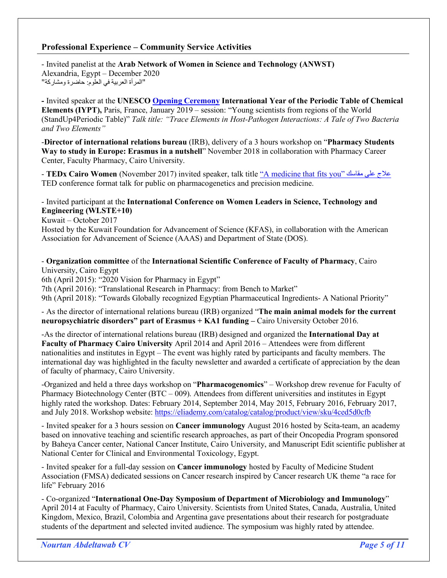# **Professional Experience – Community Service Activities**

- Invited panelist at the **Arab Network of Women in Science and Technology (ANWST)** Alexandria, Egypt – December 2020 " المر أة العربية في العلوم: حاضرة ومشاركة"

**-** Invited speaker at the **UNESCO Opening Ceremony International Year of the Periodic Table of Chemical Elements (IYPT),** Paris, France, January 2019 – session: "Young scientists from regions of the World (StandUp4Periodic Table)" *Talk title: "Trace Elements in Host-Pathogen Interactions: A Tale of Two Bacteria and Two Elements"*

-**Director of international relations bureau** (IRB), delivery of a 3 hours workshop on "**Pharmacy Students Way to study in Europe: Erasmus in a nutshell**" November 2018 in collaboration with Pharmacy Career Center, Faculty Pharmacy, Cairo University.

- **TEDx Cairo Women** (November 2017) invited speaker, talk title "A medicine that fits you" كساقم ىلع جلاع TED conference format talk for public on pharmacogenetics and precision medicine.

#### - Invited participant at the **International Conference on Women Leaders in Science, Technology and Engineering (WLSTE+10)**

Kuwait – October 2017

Hosted by the Kuwait Foundation for Advancement of Science (KFAS), in collaboration with the American Association for Advancement of Science (AAAS) and Department of State (DOS).

- **Organization committee** of the **International Scientific Conference of Faculty of Pharmacy**, Cairo University, Cairo Egypt

6th (April 2015): "2020 Vision for Pharmacy in Egypt"

7th (April 2016): "Translational Research in Pharmacy: from Bench to Market"

9th (April 2018): "Towards Globally recognized Egyptian Pharmaceutical Ingredients- A National Priority"

- As the director of international relations bureau (IRB) organized "**The main animal models for the current neuropsychiatric disorders" part of Erasmus + KA1 funding –** Cairo University October 2016.

-As the director of international relations bureau (IRB) designed and organized the **International Day at Faculty of Pharmacy Cairo University** April 2014 and April 2016 – Attendees were from different nationalities and institutes in Egypt – The event was highly rated by participants and faculty members. The international day was highlighted in the faculty newsletter and awarded a certificate of appreciation by the dean of faculty of pharmacy, Cairo University.

-Organized and held a three days workshop on "**Pharmacogenomics**" – Workshop drew revenue for Faculty of Pharmacy Biotechnology Center ( $BTC - 009$ ). Attendees from different universities and institutes in Egypt highly rated the workshop. Dates: February 2014, September 2014, May 2015, February 2016, February 2017, and July 2018. Workshop website: https://eliademy.com/catalog/catalog/product/view/sku/4ced5d0cfb

- Invited speaker for a 3 hours session on **Cancer immunology** August 2016 hosted by Scita-team, an academy based on innovative teaching and scientific research approaches, as part of their Oncopedia Program sponsored by Baheya Cancer center, National Cancer Institute, Cairo University, and Manuscript Edit scientific publisher at National Center for Clinical and Environmental Toxicology, Egypt.

- Invited speaker for a full-day session on **Cancer immunology** hosted by Faculty of Medicine Student Association (FMSA) dedicated sessions on Cancer research inspired by Cancer research UK theme "a race for life" February 2016

- Co-organized "**International One-Day Symposium of Department of Microbiology and Immunology**" April 2014 at Faculty of Pharmacy, Cairo University. Scientists from United States, Canada, Australia, United Kingdom, Mexico, Brazil, Colombia and Argentina gave presentations about their research for postgraduate students of the department and selected invited audience. The symposium was highly rated by attendee.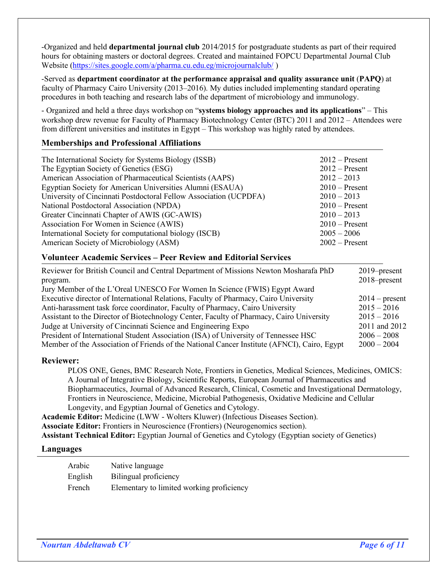-Organized and held **departmental journal club** 2014/2015 for postgraduate students as part of their required hours for obtaining masters or doctoral degrees. Created and maintained FOPCU Departmental Journal Club Website (https://sites.google.com/a/pharma.cu.edu.eg/microjournalclub/ )

-Served as **department coordinator at the performance appraisal and quality assurance unit** (**PAPQ**) at faculty of Pharmacy Cairo University (2013–2016). My duties included implementing standard operating procedures in both teaching and research labs of the department of microbiology and immunology.

- Organized and held a three days workshop on "**systems biology approaches and its applications**" – This workshop drew revenue for Faculty of Pharmacy Biotechnology Center (BTC) 2011 and 2012 – Attendees were from different universities and institutes in Egypt – This workshop was highly rated by attendees.

# **Memberships and Professional Affiliations**

| The International Society for Systems Biology (ISSB)<br>The Egyptian Society of Genetics (ESG)<br>American Association of Pharmaceutical Scientists (AAPS)<br>Egyptian Society for American Universities Alumni (ESAUA) | $2012$ – Present<br>$2012$ – Present<br>$2012 - 2013$<br>$2010$ – Present |
|-------------------------------------------------------------------------------------------------------------------------------------------------------------------------------------------------------------------------|---------------------------------------------------------------------------|
| University of Cincinnati Postdoctoral Fellow Association (UCPDFA)                                                                                                                                                       | $2010 - 2013$                                                             |
| National Postdoctoral Association (NPDA)                                                                                                                                                                                | $2010$ – Present                                                          |
| Greater Cincinnati Chapter of AWIS (GC-AWIS)                                                                                                                                                                            | $2010 - 2013$                                                             |
| Association For Women in Science (AWIS)                                                                                                                                                                                 | $2010$ – Present                                                          |
| International Society for computational biology (ISCB)<br>American Society of Microbiology (ASM)                                                                                                                        | $2005 - 2006$<br>$2002$ – Present                                         |

#### **Volunteer Academic Services – Peer Review and Editorial Services**

| Reviewer for British Council and Central Department of Missions Newton Mosharafa PhD<br>program. | 2019–present<br>2018–present |
|--------------------------------------------------------------------------------------------------|------------------------------|
| Jury Member of the L'Oreal UNESCO For Women In Science (FWIS) Egypt Award                        |                              |
| Executive director of International Relations, Faculty of Pharmacy, Cairo University             | $2014$ – present             |
| Anti-harassment task force coordinator, Faculty of Pharmacy, Cairo University                    | $2015 - 2016$                |
| Assistant to the Director of Biotechnology Center, Faculty of Pharmacy, Cairo University         | $2015 - 2016$                |
| Judge at University of Cincinnati Science and Engineering Expo                                   | 2011 and 2012                |
| President of International Student Association (ISA) of University of Tennessee HSC              | $2006 - 2008$                |
| Member of the Association of Friends of the National Cancer Institute (AFNCI), Cairo, Egypt      | $2000 - 2004$                |
|                                                                                                  |                              |

#### **Reviewer:**

PLOS ONE, Genes, BMC Research Note, Frontiers in Genetics, Medical Sciences, Medicines, OMICS: A Journal of Integrative Biology, Scientific Reports, European Journal of Pharmaceutics and Biopharmaceutics, Journal of Advanced Research, Clinical, Cosmetic and Investigational Dermatology, Frontiers in Neuroscience, Medicine, Microbial Pathogenesis, Oxidative Medicine and Cellular Longevity, and Egyptian Journal of Genetics and Cytology.

**Academic Editor:** Medicine (LWW - Wolters Kluwer) (Infectious Diseases Section).

**Associate Editor:** Frontiers in Neuroscience (Frontiers) (Neurogenomics section).

**Assistant Technical Editor:** Egyptian Journal of Genetics and Cytology (Egyptian society of Genetics)

#### **Languages**

| Arabic  | Native language                           |
|---------|-------------------------------------------|
| English | Bilingual proficiency                     |
| French  | Elementary to limited working proficiency |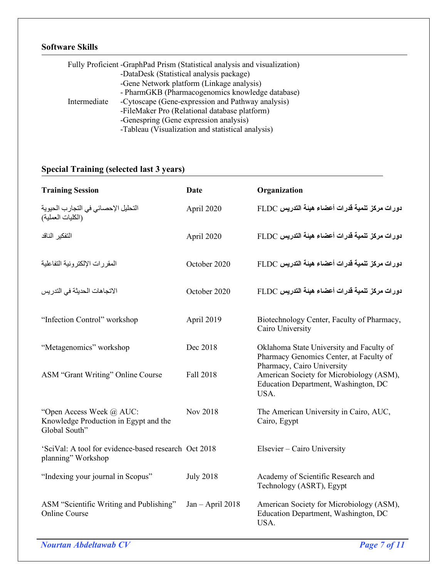# **Software Skills**

| Fully Proficient -GraphPad Prism (Statistical analysis and visualization) |                                                   |  |  |  |
|---------------------------------------------------------------------------|---------------------------------------------------|--|--|--|
|                                                                           | -DataDesk (Statistical analysis package)          |  |  |  |
|                                                                           | -Gene Network platform (Linkage analysis)         |  |  |  |
|                                                                           | - PharmGKB (Pharmacogenomics knowledge database)  |  |  |  |
| Intermediate                                                              | -Cytoscape (Gene-expression and Pathway analysis) |  |  |  |
|                                                                           | -FileMaker Pro (Relational database platform)     |  |  |  |
|                                                                           | -Genespring (Gene expression analysis)            |  |  |  |
|                                                                           | -Tableau (Visualization and statistical analysis) |  |  |  |

# **Special Training (selected last 3 years)**

| <b>Training Session</b>                                                            | Date               | Organization                                                                                                      |
|------------------------------------------------------------------------------------|--------------------|-------------------------------------------------------------------------------------------------------------------|
| التحليل الإحصـائي في التجارب الحيوية<br>(الكليات العملية)                          | April 2020         | دورات مركز تنمية قدرات أعضاء هيئة التدريس FLDC                                                                    |
| التفكير الناقد                                                                     | April 2020         | دورات مركز تنمية قدرات أعضاء هيئة التدريس FLDC                                                                    |
| المقررات الإلكترونية التفاعلية                                                     | October 2020       | دورات مركز تنمية قدرات أعضاء هيئة التدريس FLDC                                                                    |
| الاتجاهات الحديثة في التدريس                                                       | October 2020       | دورات مركز تنمية قدرات أعضاء هيئة التدريس FLDC                                                                    |
| "Infection Control" workshop                                                       | April 2019         | Biotechnology Center, Faculty of Pharmacy,<br>Cairo University                                                    |
| "Metagenomics" workshop                                                            | Dec 2018           | Oklahoma State University and Faculty of<br>Pharmacy Genomics Center, at Faculty of<br>Pharmacy, Cairo University |
| ASM "Grant Writing" Online Course                                                  | <b>Fall 2018</b>   | American Society for Microbiology (ASM),<br>Education Department, Washington, DC<br>USA.                          |
| "Open Access Week @ AUC:<br>Knowledge Production in Egypt and the<br>Global South" | Nov 2018           | The American University in Cairo, AUC,<br>Cairo, Egypt                                                            |
| 'SciVal: A tool for evidence-based research Oct 2018<br>planning" Workshop         |                    | Elsevier - Cairo University                                                                                       |
| "Indexing your journal in Scopus"                                                  | <b>July 2018</b>   | Academy of Scientific Research and<br>Technology (ASRT), Egypt                                                    |
| ASM "Scientific Writing and Publishing"<br><b>Online Course</b>                    | $Jan - April 2018$ | American Society for Microbiology (ASM),<br>Education Department, Washington, DC<br>USA.                          |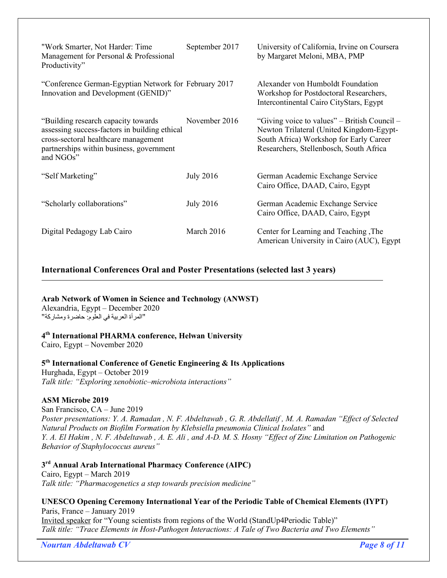| "Work Smarter, Not Harder: Time<br>Management for Personal & Professional<br>Productivity"                                                                                             | September 2017   | University of California, Irvine on Coursera<br>by Margaret Meloni, MBA, PMP                                                                                                   |
|----------------------------------------------------------------------------------------------------------------------------------------------------------------------------------------|------------------|--------------------------------------------------------------------------------------------------------------------------------------------------------------------------------|
| "Conference German-Egyptian Network for February 2017<br>Innovation and Development (GENID)"                                                                                           |                  | Alexander von Humboldt Foundation<br>Workshop for Postdoctoral Researchers,<br>Intercontinental Cairo CityStars, Egypt                                                         |
| "Building research capacity towards"<br>assessing success-factors in building ethical<br>cross-sectoral healthcare management<br>partnerships within business, government<br>and NGOs" | November 2016    | "Giving voice to values" – British Council –<br>Newton Trilateral (United Kingdom-Egypt-<br>South Africa) Workshop for Early Career<br>Researchers, Stellenbosch, South Africa |
| "Self Marketing"                                                                                                                                                                       | <b>July 2016</b> | German Academic Exchange Service<br>Cairo Office, DAAD, Cairo, Egypt                                                                                                           |
| "Scholarly collaborations"                                                                                                                                                             | <b>July 2016</b> | German Academic Exchange Service<br>Cairo Office, DAAD, Cairo, Egypt                                                                                                           |
| Digital Pedagogy Lab Cairo                                                                                                                                                             | March 2016       | Center for Learning and Teaching, The<br>American University in Cairo (AUC), Egypt                                                                                             |

# **International Conferences Oral and Poster Presentations (selected last 3 years)**

**Arab Network of Women in Science and Technology (ANWST)** Alexandria, Egypt – December 2020

"المرأة العربية في العلوم: حاضرة ومشاركة"

# **4th International PHARMA conference, Helwan University**

Cairo, Egypt – November 2020

# **5th International Conference of Genetic Engineering & Its Applications**

Hurghada, Egypt – October 2019 *Talk title: "Exploring xenobiotic–microbiota interactions"*

#### **ASM Microbe 2019**

San Francisco, CA – June 2019 *Poster presentations: Y. A. Ramadan , N. F. Abdeltawab , G. R. Abdellatif , M. A. Ramadan "Effect of Selected Natural Products on Biofilm Formation by Klebsiella pneumonia Clinical Isolates"* and *Y. A. El Hakim , N. F. Abdeltawab , A. E. Ali , and A-D. M. S. Hosny "Effect of Zinc Limitation on Pathogenic Behavior of Staphylococcus aureus"*

# **3rd Annual Arab International Pharmacy Conference (AIPC)**

Cairo, Egypt – March 2019 *Talk title: "Pharmacogenetics a step towards precision medicine"*

#### **UNESCO Opening Ceremony International Year of the Periodic Table of Chemical Elements (IYPT)** Paris, France – January 2019

Invited speaker for "Young scientists from regions of the World (StandUp4Periodic Table)" *Talk title: "Trace Elements in Host-Pathogen Interactions: A Tale of Two Bacteria and Two Elements"*

*Nourtan Abdeltawab CV Page 8 of 11*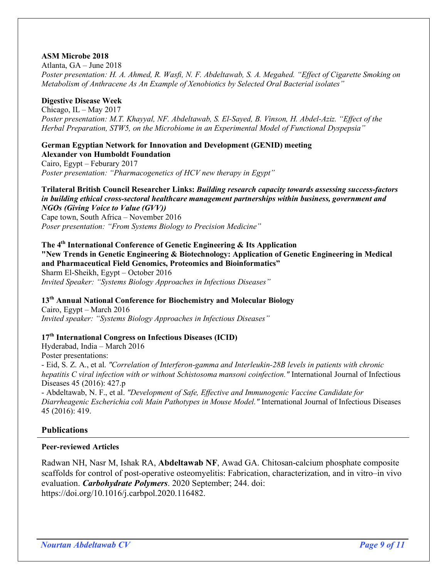#### **ASM Microbe 2018**

Atlanta, GA – June 2018 *Poster presentation: H. A. Ahmed, R. Wasfi, N. F. Abdeltawab, S. A. Megahed. "Effect of Cigarette Smoking on Metabolism of Anthracene As An Example of Xenobiotics by Selected Oral Bacterial isolates"*

# **Digestive Disease Week**

Chicago, IL – May 2017 *Poster presentation: M.T. Khayyal, NF. Abdeltawab, S. El-Sayed, B. Vinson, H. Abdel-Aziz. "Effect of the Herbal Preparation, STW5, on the Microbiome in an Experimental Model of Functional Dyspepsia"*

#### **German Egyptian Network for Innovation and Development (GENID) meeting Alexander von Humboldt Foundation**

Cairo, Egypt – Feburary 2017 *Poster presentation: "Pharmacogenetics of HCV new therapy in Egypt"*

**Trilateral British Council Researcher Links:** *Building research capacity towards assessing success-factors in building ethical cross-sectoral healthcare management partnerships within business, government and NGOs (Giving Voice to Value (GVV))* Cape town, South Africa – November 2016 *Poser presentation: "From Systems Biology to Precision Medicine"*

#### **The 4th International Conference of Genetic Engineering & Its Application "New Trends in Genetic Engineering & Biotechnology: Application of Genetic Engineering in Medical and Pharmaceutical Field Genomics, Proteomics and Bioinformatics"** Sharm El-Sheikh, Egypt – October 2016 *Invited Speaker: "Systems Biology Approaches in Infectious Diseases"*

**13th Annual National Conference for Biochemistry and Molecular Biology**

Cairo, Egypt – March 2016 *Invited speaker: "Systems Biology Approaches in Infectious Diseases"*

# **17th International Congress on Infectious Diseases (ICID)**

Hyderabad, India – March 2016 Poster presentations:

- Eid, S. Z. A., et al. *"Correlation of Interferon-gamma and Interleukin-28B levels in patients with chronic hepatitis C viral infection with or without Schistosoma mansoni coinfection."* International Journal of Infectious Diseases 45 (2016): 427.p

- Abdeltawab, N. F., et al. *"Development of Safe, Effective and Immunogenic Vaccine Candidate for Diarrheagenic Escherichia coli Main Pathotypes in Mouse Model."* International Journal of Infectious Diseases 45 (2016): 419.

#### **Publications**

#### **Peer-reviewed Articles**

Radwan NH, Nasr M, Ishak RA, **Abdeltawab NF**, Awad GA. Chitosan-calcium phosphate composite scaffolds for control of post-operative osteomyelitis: Fabrication, characterization, and in vitro–in vivo evaluation. *Carbohydrate Polymers*. 2020 September; 244. doi: https://doi.org/10.1016/j.carbpol.2020.116482.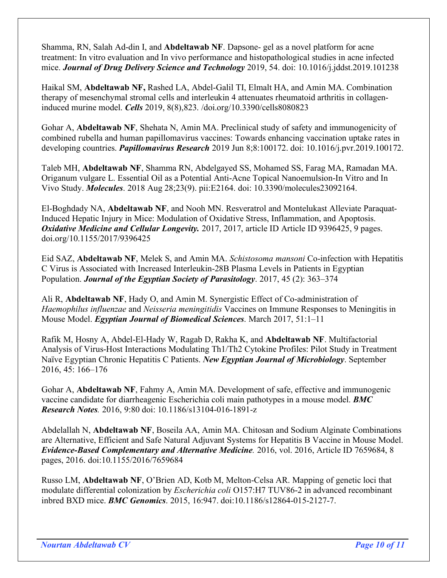Shamma, RN, Salah Ad-din I, and **Abdeltawab NF**. Dapsone- gel as a novel platform for acne treatment: In vitro evaluation and In vivo performance and histopathological studies in acne infected mice. *Journal of Drug Delivery Science and Technology* 2019, 54. doi: 10.1016/j.jddst.2019.101238

Haikal SM, **Abdeltawab NF,** Rashed LA, Abdel-Galil TI, Elmalt HA, and Amin MA. Combination therapy of mesenchymal stromal cells and interleukin 4 attenuates rheumatoid arthritis in collageninduced murine model. *Cells* 2019, 8(8),823. /doi.org/10.3390/cells8080823

Gohar A, **Abdeltawab NF**, Shehata N, Amin MA. Preclinical study of safety and immunogenicity of combined rubella and human papillomavirus vaccines: Towards enhancing vaccination uptake rates in developing countries. *Papillomavirus Research* 2019 Jun 8;8:100172. doi: 10.1016/j.pvr.2019.100172.

Taleb MH, **Abdeltawab NF**, Shamma RN, Abdelgayed SS, Mohamed SS, Farag MA, Ramadan MA. Origanum vulgare L. Essential Oil as a Potential Anti-Acne Topical Nanoemulsion-In Vitro and In Vivo Study. *Molecules*. 2018 Aug 28;23(9). pii:E2164. doi: 10.3390/molecules23092164.

El-Boghdady NA, **Abdeltawab NF**, and Nooh MN. Resveratrol and Montelukast Alleviate Paraquat-Induced Hepatic Injury in Mice: Modulation of Oxidative Stress, Inflammation, and Apoptosis. *Oxidative Medicine and Cellular Longevity.* 2017, 2017, article ID Article ID 9396425, 9 pages. doi.org/10.1155/2017/9396425

Eid SAZ, **Abdeltawab NF**, Melek S, and Amin MA. *Schistosoma mansoni* Co-infection with Hepatitis C Virus is Associated with Increased Interleukin-28B Plasma Levels in Patients in Egyptian Population. *Journal of the Egyptian Society of Parasitology*. 2017, 45 (2): 363–374

Ali R, **Abdeltawab NF**, Hady O, and Amin M. Synergistic Effect of Co-administration of *Haemophilus influenzae* and *Neisseria meningitidis* Vaccines on Immune Responses to Meningitis in Mouse Model. *Egyptian Journal of Biomedical Sciences*. March 2017, 51:1–11

Rafik M, Hosny A, Abdel-El-Hady W, Ragab D, Rakha K, and **Abdeltawab NF**. Multifactorial Analysis of Virus-Host Interactions Modulating Th1/Th2 Cytokine Profiles: Pilot Study in Treatment Naïve Egyptian Chronic Hepatitis C Patients. *New Egyptian Journal of Microbiology*. September 2016, 45: 166–176

Gohar A, **Abdeltawab NF**, Fahmy A, Amin MA. Development of safe, effective and immunogenic vaccine candidate for diarrheagenic Escherichia coli main pathotypes in a mouse model. *BMC Research Notes.* 2016, 9:80 doi: 10.1186/s13104-016-1891-z

Abdelallah N, **Abdeltawab NF**, Boseila AA, Amin MA. Chitosan and Sodium Alginate Combinations are Alternative, Efficient and Safe Natural Adjuvant Systems for Hepatitis B Vaccine in Mouse Model. *Evidence-Based Complementary and Alternative Medicine.* 2016, vol. 2016, Article ID 7659684, 8 pages, 2016. doi:10.1155/2016/7659684

Russo LM, **Abdeltawab NF**, O'Brien AD, Kotb M, Melton-Celsa AR. Mapping of genetic loci that modulate differential colonization by *Escherichia coli* O157:H7 TUV86-2 in advanced recombinant inbred BXD mice. *BMC Genomics*. 2015, 16:947. doi:10.1186/s12864-015-2127-7.